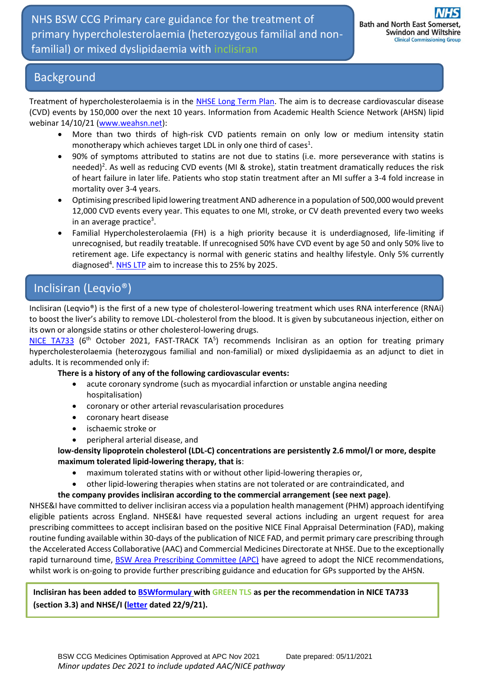#### Background

Treatment of hypercholesterolaemia is in the [NHSE Long Term Plan.](https://www.longtermplan.nhs.uk/) The aim is to decrease cardiovascular disease (CVD) events by 150,000 over the next 10 years. Information from Academic Health Science Network (AHSN) lipid webinar 14/10/21 [\(www.weahsn.net\)](http://www.weahsn.net/):

- More than two thirds of high-risk CVD patients remain on only low or medium intensity statin monotherapy which achieves target LDL in only one third of cases<sup>1</sup>.
- 90% of symptoms attributed to statins are not due to statins (i.e. more perseverance with statins is needed)<sup>2</sup>. As well as reducing CVD events (MI & stroke), statin treatment dramatically reduces the risk of heart failure in later life. Patients who stop statin treatment after an MI suffer a 3-4 fold increase in mortality over 3-4 years.
- Optimising prescribed lipid lowering treatment AND adherence in a population of 500,000 would prevent 12,000 CVD events every year. This equates to one MI, stroke, or CV death prevented every two weeks in an average practice<sup>3</sup>.
- Familial Hypercholesterolaemia (FH) is a high priority because it is underdiagnosed, life-limiting if unrecognised, but readily treatable. If unrecognised 50% have CVD event by age 50 and only 50% live to retirement age. Life expectancy is normal with generic statins and healthy lifestyle. Only 5% currently diagnosed<sup>4</sup>[. NHS LTP](https://www.longtermplan.nhs.uk/) aim to increase this to 25% by 2025.

# Inclisiran (Leqvio®)

Inclisiran (Leqvio®) is the first of a new type of cholesterol-lowering treatment which uses RNA interference (RNAi) to boost the liver's ability to remove LDL-cholesterol from the blood. It is given by subcutaneous injection, either on its own or alongside statins or other cholesterol-lowering drugs.

[NICE TA733](https://www.nice.org.uk/guidance/TA733) (6<sup>th</sup> October 2021, FAST-TRACK TA<sup>5</sup>) recommends Inclisiran as an option for treating primary hypercholesterolaemia (heterozygous familial and non-familial) or mixed dyslipidaemia as an adjunct to diet in adults. It is recommended only if:

#### **There is a history of any of the following cardiovascular events:**

- acute coronary syndrome (such as myocardial infarction or unstable angina needing hospitalisation)
- coronary or other arterial revascularisation procedures
- coronary heart disease
- ischaemic stroke or
- peripheral arterial disease, and

**low-density lipoprotein cholesterol (LDL-C) concentrations are persistently 2.6 mmol/l or more, despite maximum tolerated lipid-lowering therapy, that is**:

- maximum tolerated statins with or without other lipid-lowering therapies or,
- other lipid-lowering therapies when statins are not tolerated or are contraindicated, and

#### **the company provides inclisiran according to the commercial arrangement (see next page)**.

NHSE&I have committed to deliver inclisiran access via a population health management (PHM) approach identifying eligible patients across England. NHSE&I have requested several actions including an urgent request for area prescribing committees to accept inclisiran based on the positive NICE Final Appraisal Determination (FAD), making routine funding available within 30-days of the publication of NICE FAD, and permit primary care prescribing through the Accelerated Access Collaborative (AAC) and Commercial Medicines Directorate at NHSE. Due to the exceptionally rapid turnaround time, [BSW Area Prescribing Co](https://prescribing.bswccg.nhs.uk/apc)mmittee (APC) have agreed to adopt the NICE recommendations, whilst work is on-going to provide further prescribing guidance and education for GPs supported by the AHSN.

**Inclisiran has been added to [BSWformulary](http://bswformulary.nhs.uk/about.asp) with GREEN TLS as per the recommendation in NICE TA733 (section 3.3) and NHSE/I [\(letter](https://www.swyapc.org/wp-content/uploads/2021/09/Letter_to_accompany_meds_management_pack_inclisiran.pdf) dated 22/9/21).**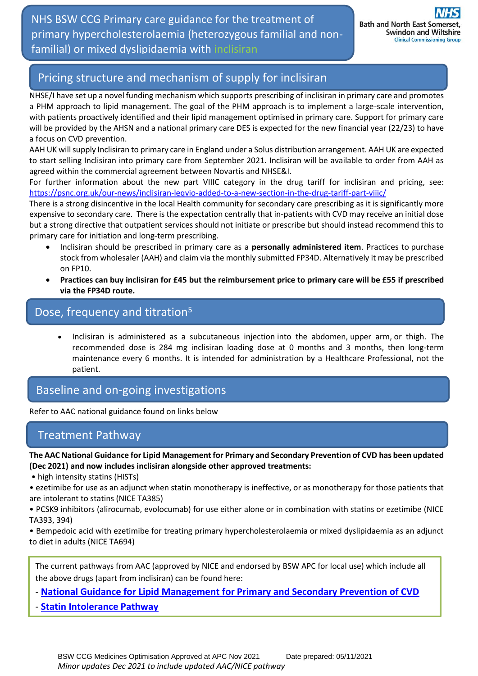NHS BSW CCG Primary care guidance for the treatment of primary hypercholesterolaemia (heterozygous familial and nonfamilial) or mixed dyslipidaemia with inclisiran

# Pricing structure and mechanism of supply for inclisiran

NHSE/I have set up a novel funding mechanism which supports prescribing of inclisiran in primary care and promotes a PHM approach to lipid management. The goal of the PHM approach is to implement a large-scale intervention, with patients proactively identified and their lipid management optimised in primary care. Support for primary care will be provided by the AHSN and a national primary care DES is expected for the new financial year (22/23) to have a focus on CVD prevention.

AAH UK will supply Inclisiran to primary care in England under a Solus distribution arrangement. AAH UK are expected to start selling Inclisiran into primary care from September 2021. Inclisiran will be available to order from AAH as agreed within the commercial agreement between Novartis and NHSE&I.

For further information about the new part VIIIC category in the drug tariff for inclisiran and pricing, see: <https://psnc.org.uk/our-news/inclisiran-leqvio-added-to-a-new-section-in-the-drug-tariff-part-viiic/>

There is a strong disincentive in the local Health community for secondary care prescribing as it is significantly more expensive to secondary care. There is the expectation centrally that in-patients with CVD may receive an initial dose but a strong directive that outpatient services should not initiate or prescribe but should instead recommend this to primary care for initiation and long-term prescribing.

- Inclisiran should be prescribed in primary care as a **personally administered item**. Practices to purchase stock from wholesaler (AAH) and claim via the monthly submitted FP34D. Alternatively it may be prescribed on FP10.
- **Practices can buy inclisiran for £45 but the reimbursement price to primary care will be £55 if prescribed via the FP34D route.**

# Dose, frequency and titration<sup>5</sup>

• Inclisiran is administered as a subcutaneous injection into the abdomen, upper arm, or thigh. The recommended dose is 284 mg inclisiran loading dose at 0 months and 3 months, then long-term maintenance every 6 months. It is intended for administration by a Healthcare Professional, not the patient.

Baseline and on-going investigations

Refer to AAC national guidance found on links below

### Treatment Pathway

**The AAC National Guidance for Lipid Management for Primary and Secondary Prevention of CVD has been updated (Dec 2021) and now includes inclisiran alongside other approved treatments:**

• high intensity statins (HISTs)

• ezetimibe for use as an adjunct when statin monotherapy is ineffective, or as monotherapy for those patients that are intolerant to statins (NICE TA385)

• PCSK9 inhibitors (alirocumab, evolocumab) for use either alone or in combination with statins or ezetimibe (NICE TA393, 394)

• Bempedoic acid with ezetimibe for treating primary hypercholesterolaemia or mixed dyslipidaemia as an adjunct to diet in adults (NICE TA694)

The current pathways from AAC (approved by NICE and endorsed by BSW APC for local use) which include all the above drugs (apart from inclisiran) can be found here:

- **[National Guidance for Lipid Management for Primary and Secondary Prevention of CVD](https://www.england.nhs.uk/aac/wp-content/uploads/sites/50/2020/04/Lipid-Management-Pathway-NEW-version-4.pdf)**

- **[Statin Intolerance Pathway](https://www.england.nhs.uk/aac/wp-content/uploads/sites/50/2020/08/Statin-Intolerance-Pathway-NEW.pdf)**